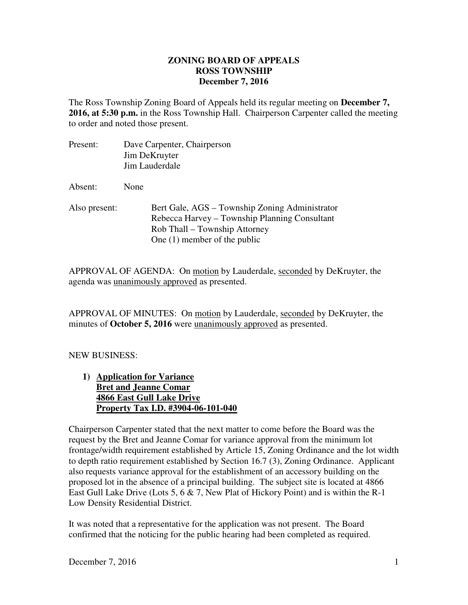## **ZONING BOARD OF APPEALS ROSS TOWNSHIP December 7, 2016**

The Ross Township Zoning Board of Appeals held its regular meeting on **December 7, 2016, at 5:30 p.m.** in the Ross Township Hall. Chairperson Carpenter called the meeting to order and noted those present.

Present: Dave Carpenter, Chairperson Jim DeKruyter Jim Lauderdale Absent: None Also present: Bert Gale, AGS – Township Zoning Administrator Rebecca Harvey – Township Planning Consultant Rob Thall – Township Attorney One (1) member of the public

APPROVAL OF AGENDA: On motion by Lauderdale, seconded by DeKruyter, the agenda was unanimously approved as presented.

APPROVAL OF MINUTES: On motion by Lauderdale, seconded by DeKruyter, the minutes of **October 5, 2016** were unanimously approved as presented.

## NEW BUSINESS:

**1) Application for Variance Bret and Jeanne Comar 4866 East Gull Lake Drive Property Tax I.D. #3904-06-101-040** 

Chairperson Carpenter stated that the next matter to come before the Board was the request by the Bret and Jeanne Comar for variance approval from the minimum lot frontage/width requirement established by Article 15, Zoning Ordinance and the lot width to depth ratio requirement established by Section 16.7 (3), Zoning Ordinance. Applicant also requests variance approval for the establishment of an accessory building on the proposed lot in the absence of a principal building. The subject site is located at 4866 East Gull Lake Drive (Lots 5, 6 & 7, New Plat of Hickory Point) and is within the R-1 Low Density Residential District.

It was noted that a representative for the application was not present. The Board confirmed that the noticing for the public hearing had been completed as required.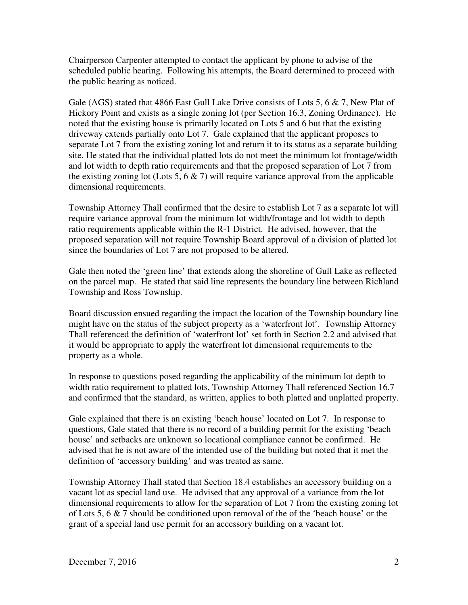Chairperson Carpenter attempted to contact the applicant by phone to advise of the scheduled public hearing. Following his attempts, the Board determined to proceed with the public hearing as noticed.

Gale (AGS) stated that 4866 East Gull Lake Drive consists of Lots 5, 6 & 7, New Plat of Hickory Point and exists as a single zoning lot (per Section 16.3, Zoning Ordinance). He noted that the existing house is primarily located on Lots 5 and 6 but that the existing driveway extends partially onto Lot 7. Gale explained that the applicant proposes to separate Lot 7 from the existing zoning lot and return it to its status as a separate building site. He stated that the individual platted lots do not meet the minimum lot frontage/width and lot width to depth ratio requirements and that the proposed separation of Lot 7 from the existing zoning lot (Lots 5, 6  $\&$  7) will require variance approval from the applicable dimensional requirements.

Township Attorney Thall confirmed that the desire to establish Lot 7 as a separate lot will require variance approval from the minimum lot width/frontage and lot width to depth ratio requirements applicable within the R-1 District. He advised, however, that the proposed separation will not require Township Board approval of a division of platted lot since the boundaries of Lot 7 are not proposed to be altered.

Gale then noted the 'green line' that extends along the shoreline of Gull Lake as reflected on the parcel map. He stated that said line represents the boundary line between Richland Township and Ross Township.

Board discussion ensued regarding the impact the location of the Township boundary line might have on the status of the subject property as a 'waterfront lot'. Township Attorney Thall referenced the definition of 'waterfront lot' set forth in Section 2.2 and advised that it would be appropriate to apply the waterfront lot dimensional requirements to the property as a whole.

In response to questions posed regarding the applicability of the minimum lot depth to width ratio requirement to platted lots, Township Attorney Thall referenced Section 16.7 and confirmed that the standard, as written, applies to both platted and unplatted property.

Gale explained that there is an existing 'beach house' located on Lot 7. In response to questions, Gale stated that there is no record of a building permit for the existing 'beach house' and setbacks are unknown so locational compliance cannot be confirmed. He advised that he is not aware of the intended use of the building but noted that it met the definition of 'accessory building' and was treated as same.

Township Attorney Thall stated that Section 18.4 establishes an accessory building on a vacant lot as special land use. He advised that any approval of a variance from the lot dimensional requirements to allow for the separation of Lot 7 from the existing zoning lot of Lots 5, 6  $\&$  7 should be conditioned upon removal of the of the 'beach house' or the grant of a special land use permit for an accessory building on a vacant lot.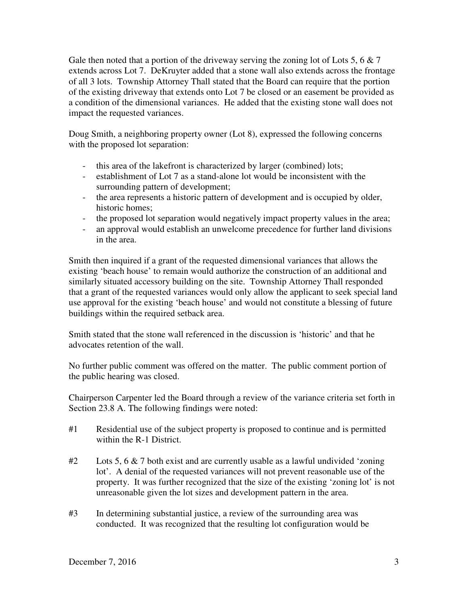Gale then noted that a portion of the driveway serving the zoning lot of Lots 5, 6 & 7 extends across Lot 7. DeKruyter added that a stone wall also extends across the frontage of all 3 lots. Township Attorney Thall stated that the Board can require that the portion of the existing driveway that extends onto Lot 7 be closed or an easement be provided as a condition of the dimensional variances. He added that the existing stone wall does not impact the requested variances.

Doug Smith, a neighboring property owner (Lot 8), expressed the following concerns with the proposed lot separation:

- this area of the lakefront is characterized by larger (combined) lots;
- establishment of Lot 7 as a stand-alone lot would be inconsistent with the surrounding pattern of development;
- the area represents a historic pattern of development and is occupied by older, historic homes;
- the proposed lot separation would negatively impact property values in the area;
- an approval would establish an unwelcome precedence for further land divisions in the area.

Smith then inquired if a grant of the requested dimensional variances that allows the existing 'beach house' to remain would authorize the construction of an additional and similarly situated accessory building on the site. Township Attorney Thall responded that a grant of the requested variances would only allow the applicant to seek special land use approval for the existing 'beach house' and would not constitute a blessing of future buildings within the required setback area.

Smith stated that the stone wall referenced in the discussion is 'historic' and that he advocates retention of the wall.

No further public comment was offered on the matter. The public comment portion of the public hearing was closed.

Chairperson Carpenter led the Board through a review of the variance criteria set forth in Section 23.8 A. The following findings were noted:

- #1 Residential use of the subject property is proposed to continue and is permitted within the R-1 District.
- $\#2$  Lots 5, 6 & 7 both exist and are currently usable as a lawful undivided 'zoning' lot'. A denial of the requested variances will not prevent reasonable use of the property. It was further recognized that the size of the existing 'zoning lot' is not unreasonable given the lot sizes and development pattern in the area.
- #3 In determining substantial justice, a review of the surrounding area was conducted. It was recognized that the resulting lot configuration would be